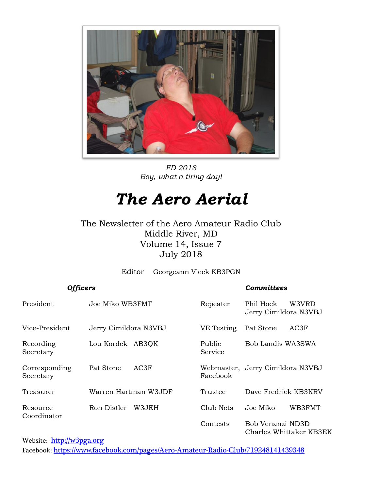

*FD 2018 Boy, what a tiring day!*

## *The Aero Aerial*

The Newsletter of the Aero Amateur Radio Club Middle River, MD Volume 14, Issue 7 July 2018

Editor Georgeann Vleck KB3PGN

#### *Officers Committees*

| President                  | Joe Miko WB3FMT       |        | Repeater          | Phil Hock<br>Jerry Cimildora N3VBJ | W3VRD                   |
|----------------------------|-----------------------|--------|-------------------|------------------------------------|-------------------------|
| Vice-President             | Jerry Cimildora N3VBJ |        | VE Testing        | Pat Stone                          | AC3F                    |
| Recording<br>Secretary     | Lou Kordek AB3QK      |        | Public<br>Service | Bob Landis WA3SWA                  |                         |
| Corresponding<br>Secretary | Pat Stone             | AC3F   | Facebook          | Webmaster, Jerry Cimildora N3VBJ   |                         |
| Treasurer                  | Warren Hartman W3JDF  |        | Trustee           | Dave Fredrick KB3KRV               |                         |
| Resource<br>Coordinator    | Ron Distler           | W3.JEH | Club Nets         | Joe Miko                           | WB3FMT                  |
|                            |                       |        | Contests          | Bob Venanzi ND3D                   | Charles Whittaker KB3EK |

Website: [http://w](http://home.comcast.net/~frank-stone/Aero%20ARC/aero.htm)3pga.org

Facebook: <https://www.facebook.com/pages/Aero-Amateur-Radio-Club/719248141439348>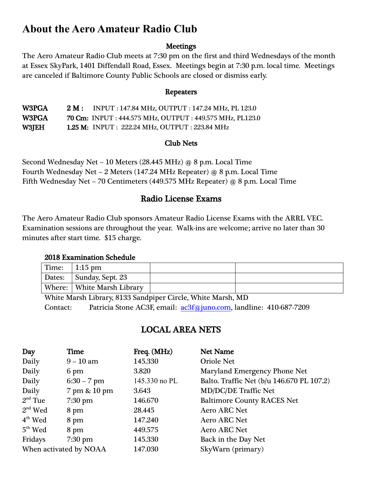### **About the Aero Amateur Radio Club**

#### **Meetings**

The Aero Amateur Radio Club meets at 7:30 pm on the first and third Wednesdays of the month at Essex SkyPark, 1401 Diffendall Road, Essex. Meetings begin at 7:30 p.m. local time. Meetings are canceled if Baltimore County Public Schools are closed or dismiss early.

#### Repeaters

| W3PGA        | 2 M: | INPUT : 147.84 MHz, OUTPUT : 147.24 MHz, PL 123.0                |
|--------------|------|------------------------------------------------------------------|
| W3PGA.       |      | <b>70 Cm:</b> INPUT : 444.575 MHz, OUTPUT : 449.575 MHz, PL123.0 |
| <b>W3JEH</b> |      | <b>1.25 M: INPUT : 222.24 MHz, OUTPUT : 223.84 MHz</b>           |

#### Club Nets

Second Wednesday Net – 10 Meters (28.445 MHz) @ 8 p.m. Local Time Fourth Wednesday Net – 2 Meters (147.24 MHz Repeater) @ 8 p.m. Local Time Fifth Wednesday Net – 70 Centimeters (449.575 MHz Repeater) @ 8 p.m. Local Time

#### Radio License Exams

The Aero Amateur Radio Club sponsors Amateur Radio License Exams with the ARRL VEC. Examination sessions are throughout the year. Walk-ins are welcome; arrive no later than 30 minutes after start time. \$15 charge.

#### 2018 Examination Schedule

| Time: | 1:15 pm                    |  |
|-------|----------------------------|--|
|       | Dates: Sunday, Sept. 23    |  |
|       | Where: White Marsh Library |  |

White Marsh Library, 8133 Sandpiper Circle, White Marsh, MD Contact: Patricia Stone AC3F, email: [ac3f@juno.com,](mailto:ac3f@juno.com) landline: 410-687-7209

#### LOCAL AREA NETS

| Day                    | <b>Time</b>   | Freq. (MHz)   | <b>Net Name</b>                           |
|------------------------|---------------|---------------|-------------------------------------------|
| Daily                  | $9 - 10$ am   | 145.330       | <b>Oriole Net</b>                         |
| Daily                  | 6 pm          | 3.820         | Maryland Emergency Phone Net              |
| Daily                  | $6:30 - 7$ pm | 145.330 no PL | Balto. Traffic Net (b/u 146.670 PL 107.2) |
| Daily                  | 7 pm & 10 pm  | 3.643         | <b>MD/DC/DE Traffic Net</b>               |
| $2nd$ Tue              | $7:30$ pm     | 146.670       | <b>Baltimore County RACES Net</b>         |
| $2nd$ Wed              | 8 pm          | 28.445        | <b>Aero ARC Net</b>                       |
| $4th$ Wed              | 8 pm          | 147.240       | <b>Aero ARC Net</b>                       |
| $5th$ Wed              | 8 pm          | 449.575       | <b>Aero ARC Net</b>                       |
| Fridays                | $7:30$ pm     | 145.330       | Back in the Day Net                       |
| When activated by NOAA |               | 147.030       | SkyWarn (primary)                         |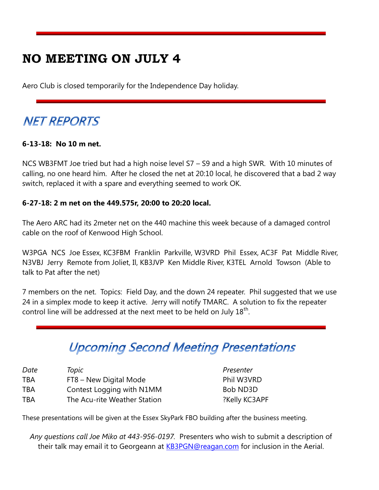## **NO MEETING ON JULY 4**

Aero Club is closed temporarily for the Independence Day holiday.

## **NET REPORTS**

#### **6-13-18: No 10 m net.**

NCS WB3FMT Joe tried but had a high noise level S7 – S9 and a high SWR. With 10 minutes of calling, no one heard him. After he closed the net at 20:10 local, he discovered that a bad 2 way switch, replaced it with a spare and everything seemed to work OK.

#### **6-27-18: 2 m net on the 449.575r, 20:00 to 20:20 local.**

The Aero ARC had its 2meter net on the 440 machine this week because of a damaged control cable on the roof of Kenwood High School.

W3PGA NCS Joe Essex, KC3FBM Franklin Parkville, W3VRD Phil Essex, AC3F Pat Middle River, N3VBJ Jerry Remote from Joliet, Il, KB3JVP Ken Middle River, K3TEL Arnold Towson (Able to talk to Pat after the net)

7 members on the net. Topics: Field Day, and the down 24 repeater. Phil suggested that we use 24 in a simplex mode to keep it active. Jerry will notify TMARC. A solution to fix the repeater control line will be addressed at the next meet to be held on July  $18^{\text{th}}$ .

## **Upcoming Second Meeting Presentations**

| Date       | Topic                        |
|------------|------------------------------|
| <b>TBA</b> | FT8 – New Digital Mode       |
| <b>TBA</b> | Contest Logging with N1MM    |
| <b>TBA</b> | The Acu-rite Weather Station |

*Presenter* Phil W3VRD Bob ND3D ?Kelly KC3APF

These presentations will be given at the Essex SkyPark FBO building after the business meeting.

*Any questions call Joe Miko at 443-956-0197.* Presenters who wish to submit a description of their talk may email it to Georgeann at **KB3PGN@reagan.com** for inclusion in the Aerial.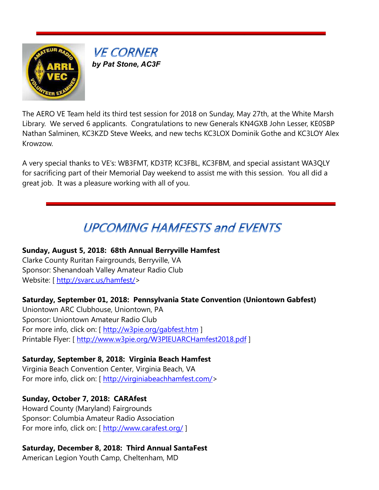

**VE CORNER**  *by Pat Stone, AC3F*

The AERO VE Team held its third test session for 2018 on Sunday, May 27th, at the White Marsh Library. We served 6 applicants. Congratulations to new Generals KN4GXB John Lesser, KE0SBP Nathan Salminen, KC3KZD Steve Weeks, and new techs KC3LOX Dominik Gothe and KC3LOY Alex Krowzow.

A very special thanks to VE's: WB3FMT, KD3TP, KC3FBL, KC3FBM, and special assistant WA3QLY for sacrificing part of their Memorial Day weekend to assist me with this session. You all did a great job. It was a pleasure working with all of you.

## **UPCOMING HAMFESTS and EVENTS**

#### **Sunday, August 5, 2018: 68th Annual Berryville Hamfest**

Clarke County Ruritan Fairgrounds, Berryville, VA Sponsor: Shenandoah Valley Amateur Radio Club Website: [ [http://svarc.us/hamfest/>](http://svarc.us/hamfest/)

#### **Saturday, September 01, 2018: Pennsylvania State Convention (Uniontown Gabfest)**

Uniontown ARC Clubhouse, Uniontown, PA Sponsor: Uniontown Amateur Radio Club For more info, click on: [<http://w3pie.org/gabfest.htm> ] Printable Flyer: [<http://www.w3pie.org/W3PIEUARCHamfest2018.pdf> ]

#### **Saturday, September 8, 2018: Virginia Beach Hamfest**

Virginia Beach Convention Center, Virginia Beach, VA For more info, click on: [ [http://virginiabeachhamfest.com/>](http://virginiabeachhamfest.com/)

#### **Sunday, October 7, 2018: CARAfest**

Howard County (Maryland) Fairgrounds Sponsor: Columbia Amateur Radio Association For more info, click on: [<http://www.carafest.org/> ]

#### **Saturday, December 8, 2018: Third Annual SantaFest**

American Legion Youth Camp, Cheltenham, MD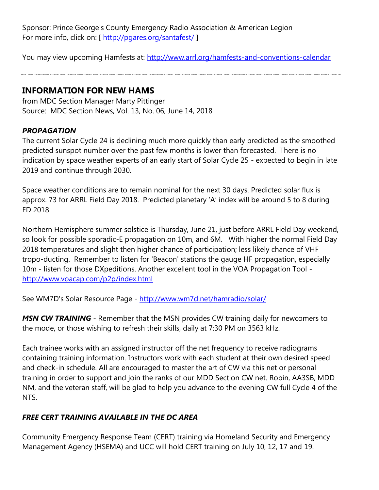Sponsor: Prince George's County Emergency Radio Association & American Legion For more info, click on: [<http://pgares.org/santafest/> ]

You may view upcoming Hamfests at:<http://www.arrl.org/hamfests-and-conventions-calendar>

#### **INFORMATION FOR NEW HAMS**

from MDC Section Manager Marty Pittinger Source: MDC Section News, Vol. 13, No. 06, June 14, 2018

#### *PROPAGATION*

The current Solar Cycle 24 is declining much more quickly than early predicted as the smoothed predicted sunspot number over the past few months is lower than forecasted. There is no indication by space weather experts of an early start of Solar Cycle 25 - expected to begin in late 2019 and continue through 2030.

Space weather conditions are to remain nominal for the next 30 days. Predicted solar flux is approx. 73 for ARRL Field Day 2018. Predicted planetary 'A' index will be around 5 to 8 during FD 2018.

Northern Hemisphere summer solstice is Thursday, June 21, just before ARRL Field Day weekend, so look for possible sporadic-E propagation on 10m, and 6M. With higher the normal Field Day 2018 temperatures and slight then higher chance of participation; less likely chance of VHF tropo-ducting. Remember to listen for 'Beacon' stations the gauge HF propagation, especially 10m - listen for those DXpeditions. Another excellent tool in the VOA Propagation Tool <http://www.voacap.com/p2p/index.html>

See WM7D's Solar Resource Page - <http://www.wm7d.net/hamradio/solar/>

**MSN CW TRAINING** - Remember that the MSN provides CW training daily for newcomers to the mode, or those wishing to refresh their skills, daily at 7:30 PM on 3563 kHz.

Each trainee works with an assigned instructor off the net frequency to receive radiograms containing training information. Instructors work with each student at their own desired speed and check-in schedule. All are encouraged to master the art of CW via this net or personal training in order to support and join the ranks of our MDD Section CW net. Robin, AA3SB, MDD NM, and the veteran staff, will be glad to help you advance to the evening CW full Cycle 4 of the NTS.

#### *FREE CERT TRAINING AVAILABLE IN THE DC AREA*

Community Emergency Response Team (CERT) training via Homeland Security and Emergency Management Agency (HSEMA) and UCC will hold CERT training on July 10, 12, 17 and 19.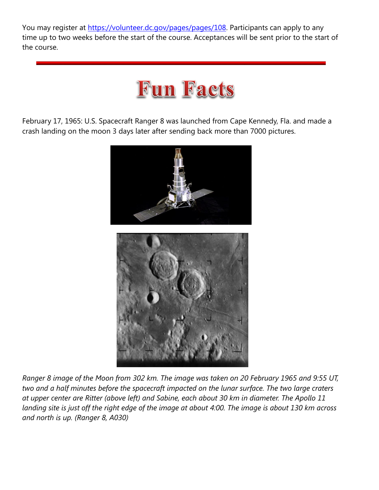You may register at [https://volunteer.dc.gov/pages/pages/108.](https://volunteer.dc.gov/pages/pages/108) Participants can apply to any time up to two weeks before the start of the course. Acceptances will be sent prior to the start of the course.

## **Fun Facts**

February 17, 1965: U.S. Spacecraft Ranger 8 was launched from Cape Kennedy, Fla. and made a crash landing on the moon 3 days later after sending back more than 7000 pictures.



*Ranger 8 image of the Moon from 302 km. The image was taken on 20 February 1965 and 9:55 UT, two and a half minutes before the spacecraft impacted on the lunar surface. The two large craters at upper center are Ritter (above left) and Sabine, each about 30 km in diameter. The Apollo 11 landing site is just off the right edge of the image at about 4:00. The image is about 130 km across and north is up. (Ranger 8, A030)*